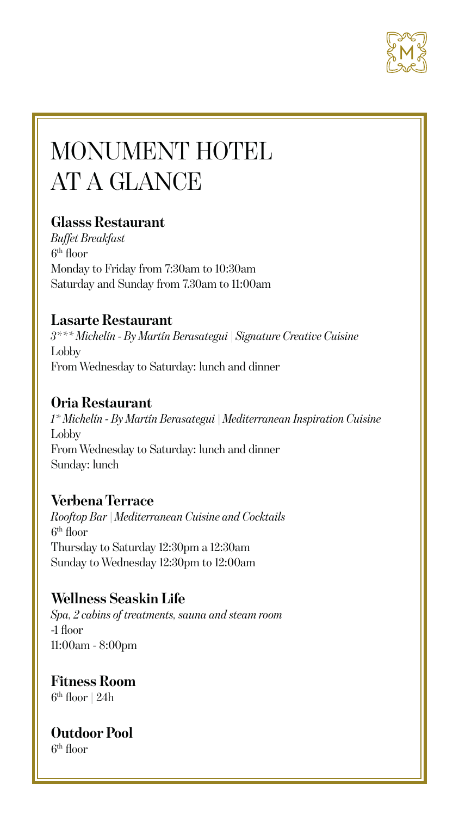

# MONUMENT HOTEL AT A GLANCE

# **Glasss Restaurant**

*Buffet Breakfast* 6th floor Monday to Friday from 7:30am to 10:30am Saturday and Sunday from 7.30am to 11:00am

# **Lasarte Restaurant**

*3\*\*\* Michelín - By Martín Berasategui | Signature Creative Cuisine*  Lobby From Wednesday to Saturday: lunch and dinner

# **Oria Restaurant**

*1\* Michelín - By Martín Berasategui | Mediterranean Inspiration Cuisine* Lobby From Wednesday to Saturday: lunch and dinner Sunday: lunch

# **Verbena Terrace**

*Rooftop Bar | Mediterranean Cuisine and Cocktails* 6th floor Thursday to Saturday 12:30pm a 12:30am Sunday to Wednesday 12:30pm to 12:00am

# **Wellness Seaskin Life**

*Spa, 2 cabins of treatments, sauna and steam room* -1 floor 11:00am - 8:00pm

# **Fitness Room**

 $6<sup>th</sup>$  floor | 24h

**Outdoor Pool**

6th floor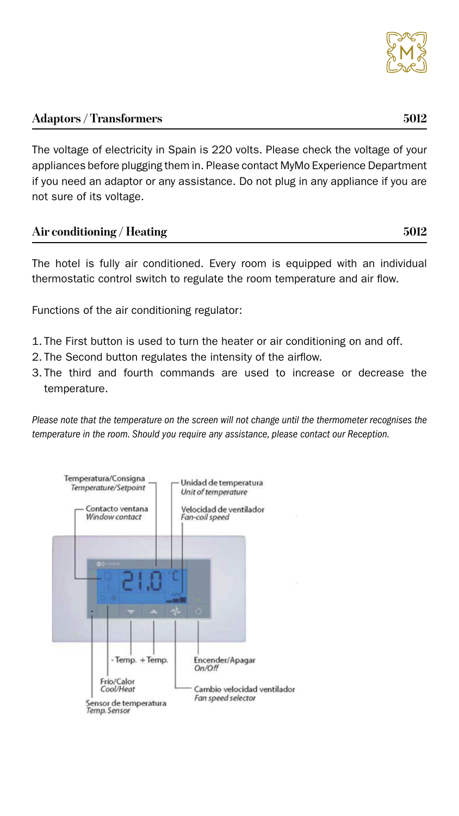

The voltage of electricity in Spain is 220 volts. Please check the voltage of your appliances before plugging them in. Please contact MyMo Experience Department if you need an adaptor or any assistance. Do not plug in any appliance if you are not sure of its voltage.

| Air conditioning / Heating | 5012 |
|----------------------------|------|
|----------------------------|------|

The hotel is fully air conditioned. Every room is equipped with an individual thermostatic control switch to regulate the room temperature and air flow.

Functions of the air conditioning regulator:

- 1. The First button is used to turn the heater or air conditioning on and off.
- 2. The Second button regulates the intensity of the airflow.
- 3. The third and fourth commands are used to increase or decrease the temperature.

*Please note that the temperature on the screen will not change until the thermometer recognises the temperature in the room. Should you require any assistance, please contact our Reception.*

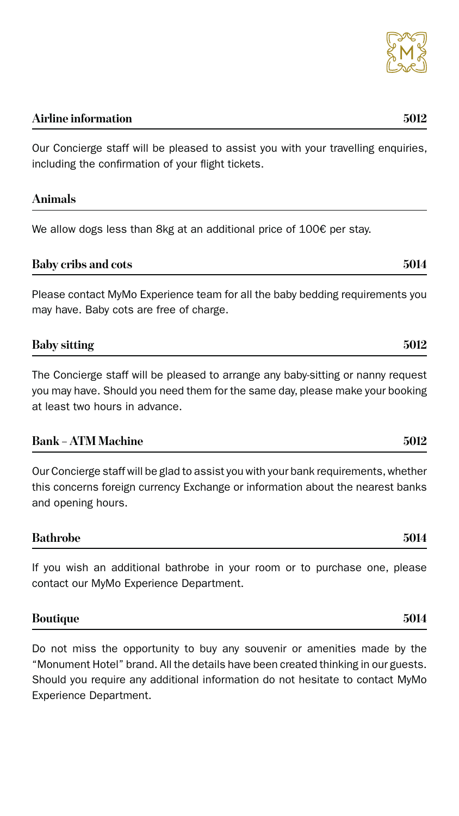### **Airline information 5012**

Our Concierge staff will be pleased to assist you with your travelling enquiries, including the confirmation of your flight tickets.

#### **Animals**

We allow dogs less than 8kg at an additional price of 100€ per stay.

| <b>Baby cribs and cots</b> | 5014 |
|----------------------------|------|
|                            |      |

Please contact MyMo Experience team for all the baby bedding requirements you may have. Baby cots are free of charge.

| <b>Baby sitting</b> | nr. |
|---------------------|-----|
|                     |     |

The Concierge staff will be pleased to arrange any baby-sitting or nanny request you may have. Should you need them for the same day, please make your booking at least two hours in advance.

### **Bank – ATM Machine 5012**

Our Concierge staff will be glad to assist you with your bank requirements, whether this concerns foreign currency Exchange or information about the nearest banks and opening hours.

#### **Bathrobe 5014**



If you wish an additional bathrobe in your room or to purchase one, please

### **Boutique 5014**

Do not miss the opportunity to buy any souvenir or amenities made by the "Monument Hotel" brand. All the details have been created thinking in our guests. Should you require any additional information do not hesitate to contact MyMo Experience Department.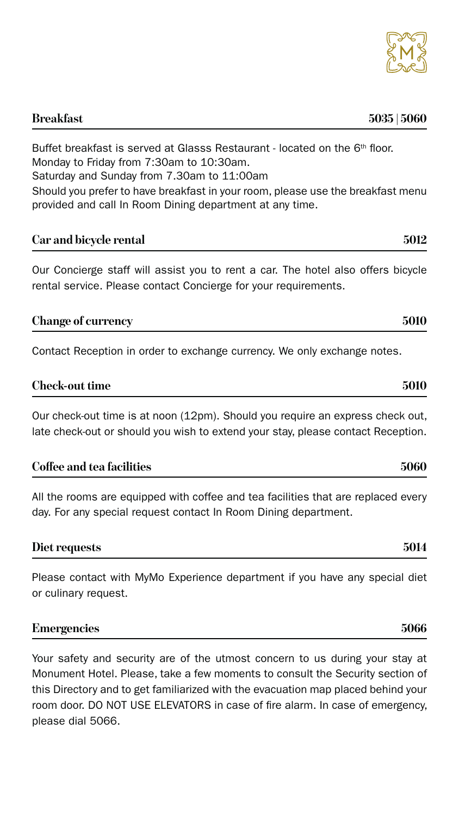### **Breakfast 5035 | 5060**

Buffet breakfast is served at Glasss Restaurant - located on the 6<sup>th</sup> floor. Monday to Friday from 7:30am to 10:30am. Saturday and Sunday from 7.30am to 11:00am Should you prefer to have breakfast in your room, please use the breakfast menu provided and call In Room Dining department at any time.

### **Car and bicycle rental 5012**

Our Concierge staff will assist you to rent a car. The hotel also offers bicycle rental service. Please contact Concierge for your requirements.

| <b>Change of currency</b> | 5010 |
|---------------------------|------|
|---------------------------|------|

Contact Reception in order to exchange currency. We only exchange notes.

| <b>Check-out time</b> | 5010 |
|-----------------------|------|
|-----------------------|------|

Our check-out time is at noon (12pm). Should you require an express check out, late check-out or should you wish to extend your stay, please contact Reception.

| Coffee and tea facilities | 5060 |
|---------------------------|------|
|---------------------------|------|

All the rooms are equipped with coffee and tea facilities that are replaced every day. For any special request contact In Room Dining department.

#### **Diet requests 5014**

Please contact with MyMo Experience department if you have any special diet or culinary request.

| <b>Emergencies</b> | 5066 |
|--------------------|------|
|--------------------|------|

Your safety and security are of the utmost concern to us during your stay at Monument Hotel. Please, take a few moments to consult the Security section of this Directory and to get familiarized with the evacuation map placed behind your room door. DO NOT USE ELEVATORS in case of fire alarm. In case of emergency, please dial 5066.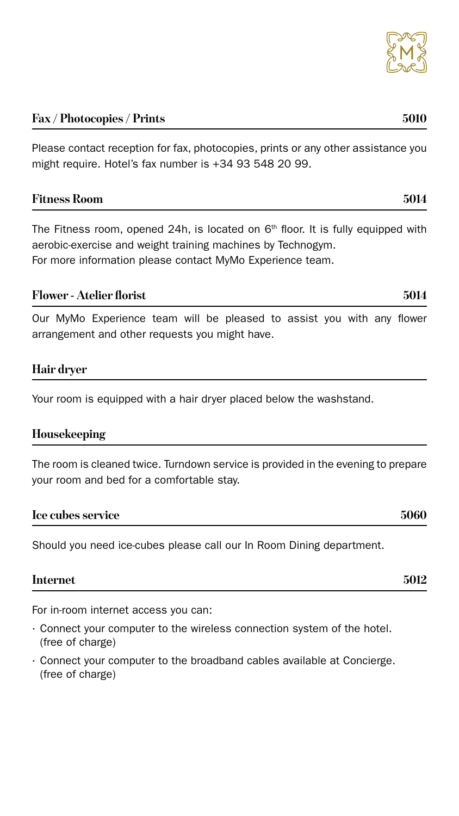### **Fax / Photocopies / Prints 5010**

Please contact reception for fax, photocopies, prints or any other assistance you might require. Hotel's fax number is +34 93 548 20 99.

#### **Fitness Room 5014**

The Fitness room, opened 24h, is located on  $6<sup>th</sup>$  floor. It is fully equipped with aerobic-exercise and weight training machines by Technogym. For more information please contact MyMo Experience team.

#### **Flower - Atelier florist 5014**

Our MyMo Experience team will be pleased to assist you with any flower arrangement and other requests you might have.

### **Hair dryer**

Your room is equipped with a hair dryer placed below the washstand.

#### **Housekeeping**

The room is cleaned twice. Turndown service is provided in the evening to prepare your room and bed for a comfortable stay.

#### **Ice cubes service 5060**

Should you need ice-cubes please call our In Room Dining department.

For in-room internet access you can:

- · Connect your computer to the wireless connection system of the hotel. (free of charge)
- · Connect your computer to the broadband cables available at Concierge. (free of charge)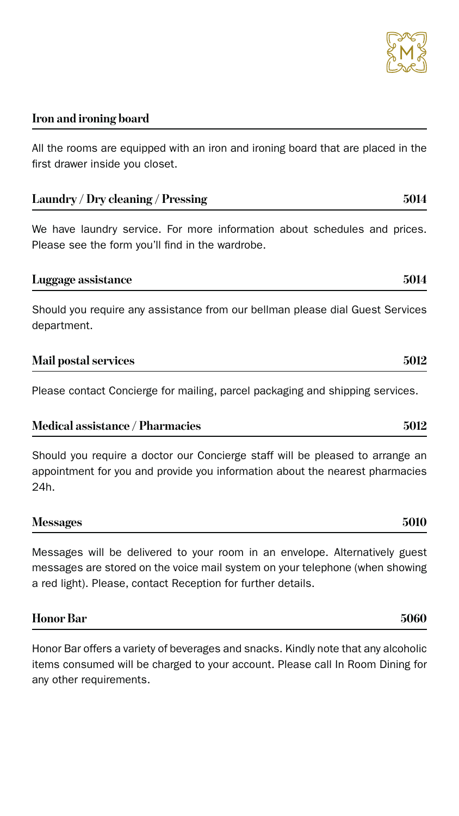

### **Iron and ironing board**

All the rooms are equipped with an iron and ironing board that are placed in the first drawer inside you closet.

| <b>Laundry / Dry cleaning / Pressing</b> |  |  |  |  | 5014 |                                                                           |  |  |  |  |
|------------------------------------------|--|--|--|--|------|---------------------------------------------------------------------------|--|--|--|--|
|                                          |  |  |  |  |      | We have laundry service. For more information about schedules and prices. |  |  |  |  |

Please see the form you'll find in the wardrobe.

**Luggage assistance 5014**

Should you require any assistance from our bellman please dial Guest Services department.

| <b>Mail postal services</b> | 5012 |  |
|-----------------------------|------|--|
|                             |      |  |

Please contact Concierge for mailing, parcel packaging and shipping services.

| <b>Medical assistance / Pharmacies</b> | 5012 |
|----------------------------------------|------|
|----------------------------------------|------|

Should you require a doctor our Concierge staff will be pleased to arrange an appointment for you and provide you information about the nearest pharmacies 24h.

| <b>Messages</b> | 5010 |
|-----------------|------|
|-----------------|------|

Messages will be delivered to your room in an envelope. Alternatively guest messages are stored on the voice mail system on your telephone (when showing a red light). Please, contact Reception for further details.

| <b>Honor Bar</b> | 5060 |
|------------------|------|
|                  |      |

Honor Bar offers a variety of beverages and snacks. Kindly note that any alcoholic items consumed will be charged to your account. Please call In Room Dining for any other requirements.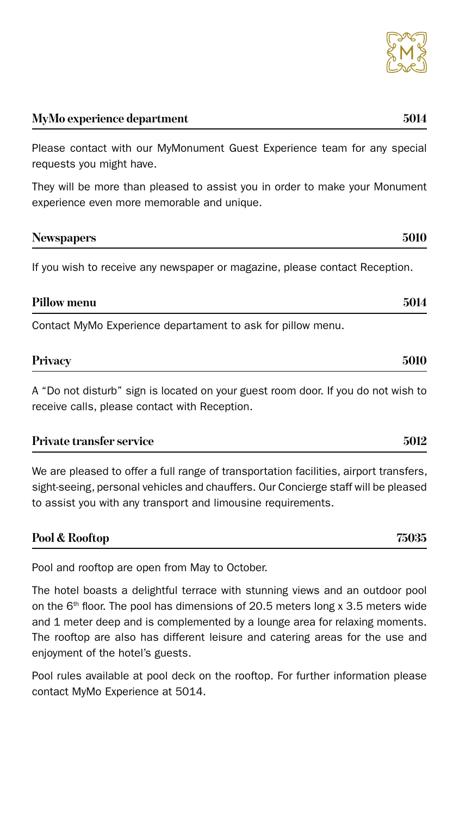### **MyMo experience department 5014**

Please contact with our MyMonument Guest Experience team for any special requests you might have.

They will be more than pleased to assist you in order to make your Monument experience even more memorable and unique.

| <b>Newspapers</b> | 5010 |
|-------------------|------|
|                   |      |

If you wish to receive any newspaper or magazine, please contact Reception.

| <b>Pillow menu</b> | 5014 |
|--------------------|------|
|--------------------|------|

Contact MyMo Experience departament to ask for pillow menu.

| <b>Privacy</b> | 5010 |
|----------------|------|
|                |      |

A "Do not disturb" sign is located on your guest room door. If you do not wish to receive calls, please contact with Reception.

| <b>Private transfer service</b> | 5012 |
|---------------------------------|------|
|                                 |      |

We are pleased to offer a full range of transportation facilities, airport transfers, sight-seeing, personal vehicles and chauffers. Our Concierge staff will be pleased to assist you with any transport and limousine requirements.

| Pool & Rooftop | 75035 |
|----------------|-------|
|                |       |



Pool and rooftop are open from May to October.

The hotel boasts a delightful terrace with stunning views and an outdoor pool on the  $6<sup>th</sup>$  floor. The pool has dimensions of 20.5 meters long x 3.5 meters wide and 1 meter deep and is complemented by a lounge area for relaxing moments. The rooftop are also has different leisure and catering areas for the use and enjoyment of the hotel's guests.

Pool rules available at pool deck on the rooftop. For further information please contact MyMo Experience at 5014.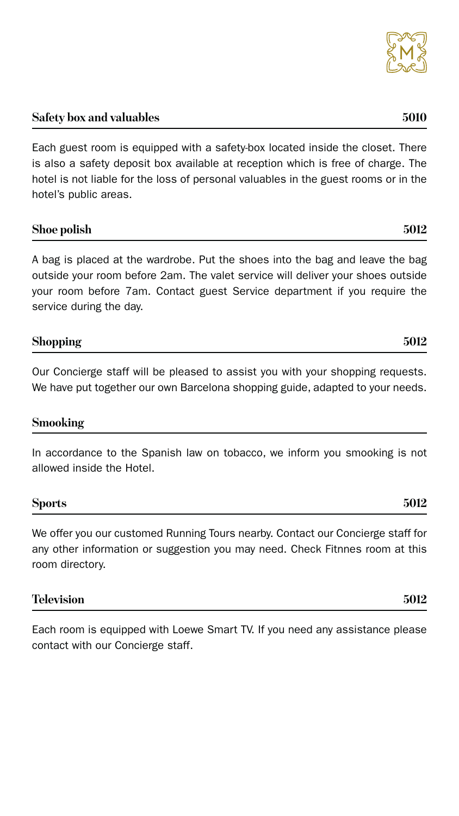## **Safety box and valuables 5010**

Each guest room is equipped with a safety-box located inside the closet. There is also a safety deposit box available at reception which is free of charge. The hotel is not liable for the loss of personal valuables in the guest rooms or in the hotel's public areas.

#### **Shoe polish 5012**

A bag is placed at the wardrobe. Put the shoes into the bag and leave the bag outside your room before 2am. The valet service will deliver your shoes outside your room before 7am. Contact guest Service department if you require the service during the day.

Our Concierge staff will be pleased to assist you with your shopping requests. We have put together our own Barcelona shopping guide, adapted to your needs.

#### **Smooking**

In accordance to the Spanish law on tobacco, we inform you smooking is not allowed inside the Hotel.

### **Sports 5012**



We offer you our customed Running Tours nearby. Contact our Concierge staff for any other information or suggestion you may need. Check Fitnnes room at this room directory.

Each room is equipped with Loewe Smart TV. If you need any assistance please contact with our Concierge staff.